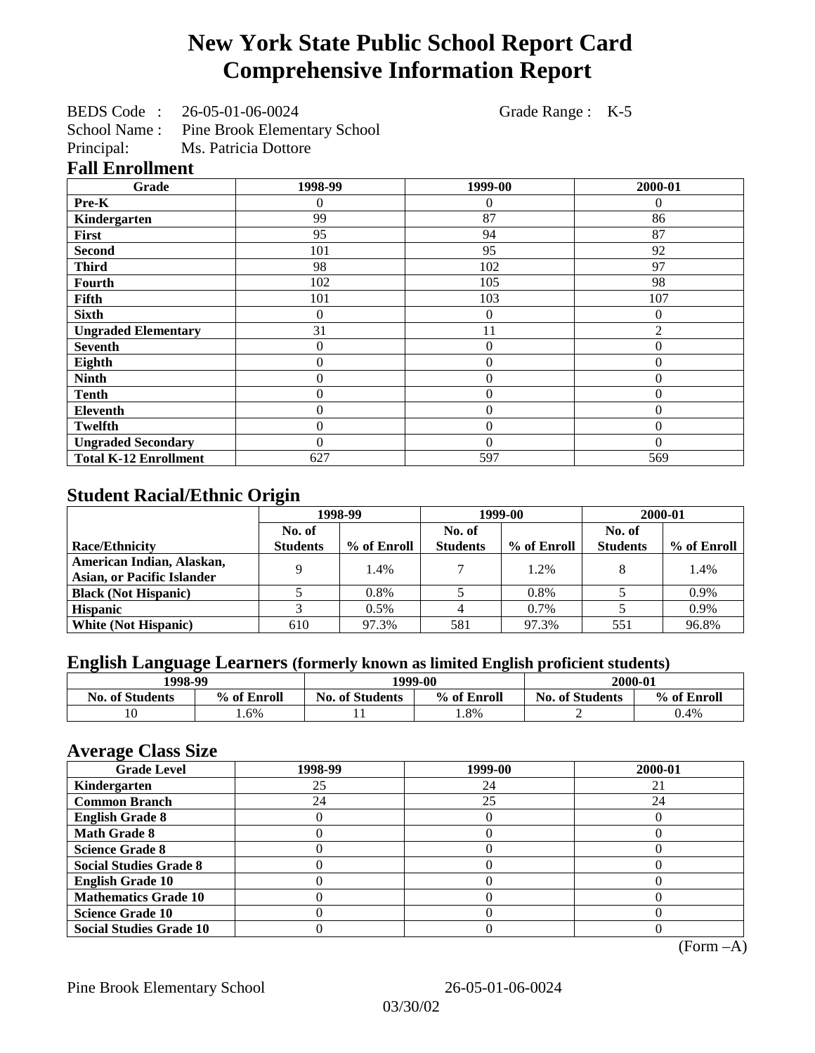# **New York State Public School Report Card Comprehensive Information Report**

BEDS Code : 26-05-01-06-0024 Grade Range : K-5

School Name : Pine Brook Elementary School

Principal: Ms. Patricia Dottore

|  | <b>Fall Enrollment</b> |  |  |
|--|------------------------|--|--|
|  |                        |  |  |

| Grade                        | 1998-99        | 1999-00        | 2000-01  |
|------------------------------|----------------|----------------|----------|
| Pre-K                        | 0              | 0              | 0        |
| Kindergarten                 | 99             | 87             | 86       |
| First                        | 95             | 94             | 87       |
| <b>Second</b>                | 101            | 95             | 92       |
| <b>Third</b>                 | 98             | 102            | 97       |
| <b>Fourth</b>                | 102            | 105            | 98       |
| Fifth                        | 101            | 103            | 107      |
| <b>Sixth</b>                 | 0              | 0              | $\Omega$ |
| <b>Ungraded Elementary</b>   | 31             | 11             | 2        |
| <b>Seventh</b>               | 0              | $\overline{0}$ | $\theta$ |
| Eighth                       | $\overline{0}$ | $\overline{0}$ | $\theta$ |
| <b>Ninth</b>                 | $\theta$       | $\overline{0}$ | $\Omega$ |
| <b>Tenth</b>                 | $\overline{0}$ | $\overline{0}$ | $\theta$ |
| Eleventh                     | $\overline{0}$ | $\overline{0}$ | $\theta$ |
| <b>Twelfth</b>               | $\overline{0}$ | $\overline{0}$ | $\Omega$ |
| <b>Ungraded Secondary</b>    | $\theta$       | $\theta$       | $\theta$ |
| <b>Total K-12 Enrollment</b> | 627            | 597            | 569      |

## **Student Racial/Ethnic Origin**

|                                   | 1998-99         |             | 1999-00         |             | 2000-01         |             |
|-----------------------------------|-----------------|-------------|-----------------|-------------|-----------------|-------------|
|                                   | No. of          |             | No. of          |             | No. of          |             |
| <b>Race/Ethnicity</b>             | <b>Students</b> | % of Enroll | <b>Students</b> | % of Enroll | <b>Students</b> | % of Enroll |
| American Indian, Alaskan,         | q               | 1.4%        |                 | 1.2%        |                 | 1.4%        |
| <b>Asian, or Pacific Islander</b> |                 |             |                 |             |                 |             |
| <b>Black (Not Hispanic)</b>       |                 | 0.8%        |                 | 0.8%        |                 | 0.9%        |
| <b>Hispanic</b>                   |                 | 0.5%        |                 | $0.7\%$     |                 | 0.9%        |
| <b>White (Not Hispanic)</b>       | 610             | 97.3%       | 581             | 97.3%       | 551             | 96.8%       |

## **English Language Learners (formerly known as limited English proficient students)**

| 1998-99                |             | 1999-00                |             | 2000-01                |             |
|------------------------|-------------|------------------------|-------------|------------------------|-------------|
| <b>No. of Students</b> | % of Enroll | <b>No. of Students</b> | % of Enroll | <b>No. of Students</b> | % of Enroll |
|                        | .6%         |                        | $.8\%$      |                        | J.4%        |

#### **Average Class Size**

| <b>Grade Level</b>             | 1998-99 | 1999-00 | 2000-01 |
|--------------------------------|---------|---------|---------|
| Kindergarten                   | 25      | 24      |         |
| <b>Common Branch</b>           | 24      | 25      | 24      |
| <b>English Grade 8</b>         |         |         |         |
| <b>Math Grade 8</b>            |         |         |         |
| <b>Science Grade 8</b>         |         |         |         |
| <b>Social Studies Grade 8</b>  |         |         |         |
| <b>English Grade 10</b>        |         |         |         |
| <b>Mathematics Grade 10</b>    |         |         |         |
| <b>Science Grade 10</b>        |         |         |         |
| <b>Social Studies Grade 10</b> |         |         |         |

(Form –A)